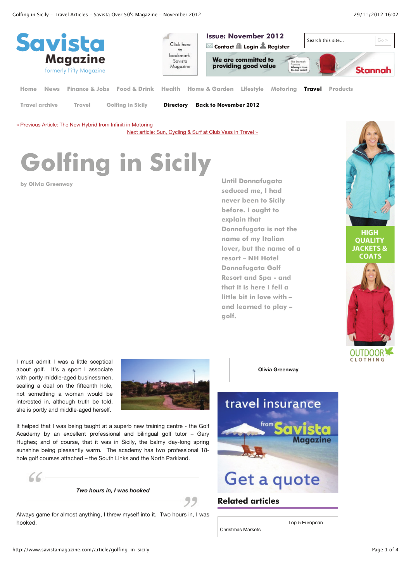

**Travel archive Travel Golfing in Sicily**

**Directory Back to November 2012**

« Previous Article: The New Hybrid from Infiniti in Motoring

Next article: Sun, Cycling & Surf at Club Vass in Travel »

# **Golfing in Sicily**

**by Olivia Greenway Until Donnafugata seduced me, I had never been to Sicily before. I ought to explain that Donnafugata is not the name of my Italian lover, but the name of a resort – NH Hotel Donnafugata Golf Resort and Spa - and that it is here I fell a little bit in love with – and learned to play – golf.**



HIGH **QUALITY JACKETS & COATS** 



I must admit I was a little sceptical about golf. It's a sport I associate with portly middle-aged businessmen, sealing a deal on the fifteenth hole, not something a woman would be interested in, although truth be told, she is portly and middle-aged herself.



It helped that I was being taught at a superb new training centre - the Golf Academy by an excellent professional and bilingual golf tutor – Gary Hughes; and of course, that it was in Sicily, the balmy day-long spring sunshine being pleasantly warm. The academy has two professional 18 hole golf courses attached – the South Links and the North Parkland.

 $66.$ 

*Two hours in, I was hooked*

Always game for almost anything, I threw myself into it. Two hours in, I was hooked. Top 5 European



**Olivia Greenway**

## **Related articles**

Christmas Markets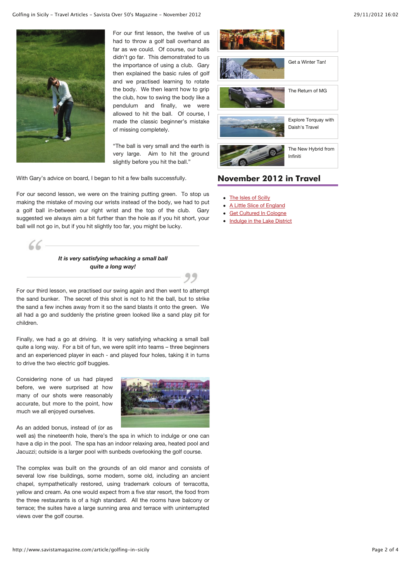

For our first lesson, the twelve of us had to throw a golf ball overhand as far as we could. Of course, our balls didn't go far. This demonstrated to us the importance of using a club. Gary then explained the basic rules of golf and we practised learning to rotate the body. We then learnt how to grip the club, how to swing the body like a pendulum and finally, we were allowed to hit the ball. Of course, I made the classic beginner's mistake of missing completely.

"The ball is very small and the earth is very large. Aim to hit the ground slightly before you hit the ball."

With Gary's advice on board, I began to hit a few balls successfully.

For our second lesson, we were on the training putting green. To stop us making the mistake of moving our wrists instead of the body, we had to put a golf ball in-between our right wrist and the top of the club. Gary suggested we always aim a bit further than the hole as if you hit short, your ball will not go in, but if you hit slightly too far, you might be lucky.



For our third lesson, we practised our swing again and then went to attempt the sand bunker. The secret of this shot is not to hit the ball, but to strike the sand a few inches away from it so the sand blasts it onto the green. We all had a go and suddenly the pristine green looked like a sand play pit for children.

Finally, we had a go at driving. It is very satisfying whacking a small ball quite a long way. For a bit of fun, we were split into teams – three beginners and an experienced player in each - and played four holes, taking it in turns to drive the two electric golf buggies.

Considering none of us had played before, we were surprised at how many of our shots were reasonably accurate, but more to the point, how much we all enjoyed ourselves.



As an added bonus, instead of (or as

well as) the nineteenth hole, there's the spa in which to indulge or one can have a dip in the pool. The spa has an indoor relaxing area, heated pool and Jacuzzi; outside is a larger pool with sunbeds overlooking the golf course.

The complex was built on the grounds of an old manor and consists of several low rise buildings, some modern, some old, including an ancient chapel, sympathetically restored, using trademark colours of terracotta, yellow and cream. As one would expect from a five star resort, the food from the three restaurants is of a high standard. All the rooms have balcony or terrace; the suites have a large sunning area and terrace with uninterrupted views over the golf course.



### **November 2012 in Travel**

- The Isles of Scilly
- A Little Slice of England
- Get Cultured In Cologne
- Indulge in the Lake District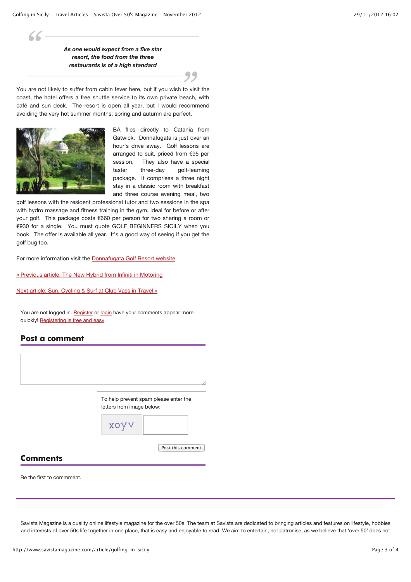*As one would expect from a five star resort, the food from the three restaurants is of a high standard*

You are not likely to suffer from cabin fever here, but if you wish to visit the coast, the hotel offers a free shuttle service to its own private beach, with café and sun deck. The resort is open all year, but I would recommend avoiding the very hot summer months; spring and autumn are perfect.



 $66-$ 

BA flies directly to Catania from Gatwick. Donnafugata is just over an hour's drive away. Golf lessons are arranged to suit, priced from €95 per session. They also have a special taster three-day golf-learning package. It comprises a three night stay in a classic room with breakfast and three course evening meal, two

golf lessons with the resident professional tutor and two sessions in the spa with hydro massage and fitness training in the gym, ideal for before or after your golf. This package costs €660 per person for two sharing a room or €930 for a single. You must quote GOLF BEGINNERS SICILY when you book. The offer is available all year. It's a good way of seeing if you get the golf bug too.

For more information visit the Donnafugata Golf Resort website

« Previous article: The New Hybrid from Infiniti in Motoring

Next article: Sun, Cycling & Surf at Club Vass in Travel »

You are not logged in. Register or login have your comments appear more quickly! Registering is free and easy.

#### **Post a comment**

| To help prevent spam please enter the<br>letters from image below:<br>$\mathbf X$ |
|-----------------------------------------------------------------------------------|
| Post this comment                                                                 |

#### **Comments**

Be the first to commment.

Savista Magazine is a quality online lifestyle magazine for the over 50s. The team at Savista are dedicated to bringing articles and features on lifestyle, hobbies and interests of over 50s life together in one place, that is easy and enjoyable to read. We aim to entertain, not patronise, as we believe that 'over 50' does not